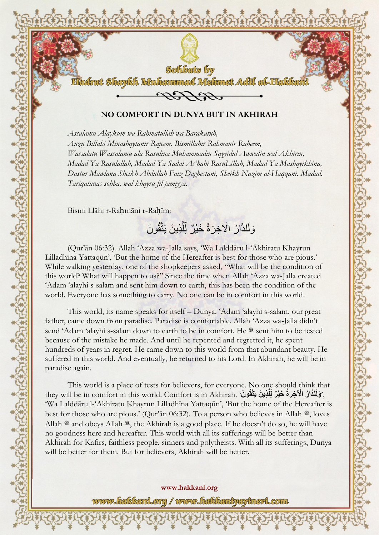

DARDARDARDARI

## **NO COMFORT IN DUNYA BUT IN AKHIRAH**

*Assalamu Alaykum wa Rahmatullah wa Barakatuh, Auzu Billahi Minashaytanir Rajeem. Bismillahir Rahmanir Raheem, Wassalatu Wassalamu ala Rasulina Muhammadin Sayyidul Awwalin wal Akhirin, Madad Ya Rasulallah, Madad Ya Sadat As'habi RasuLillah, Madad Ya Mashayikhina, Dastur Mawlana Sheikh Abdullah Faiz Daghestani, Sheikh Nazim al-Haqqani. Madad. Tariqatunas sohba, wal khayru fil jamiyya.*

Bismi Llāhi r-Rahmāni r-Rahīm:

ڲڔڲؠڲڔڿڲؠڲڔڿڲؠڲڔڿڲؠڲڔڿڲؠڲڔڿڲؠڮڔڿٛؠڮڔڲڔڲڔڲ*ڋڿڲ*<br>ٵ

وَلَلذَّارُ الْآخِرَةُ خَيْرٌ لِّلَّذِينَ يَتَّقُونَ َّ

(Qur'ān 06:32). Allah 'Azza wa-Jalla says, 'Wa Lalddāru l-'Ākhiratu Khayrun Lilladhīna Yattaqūn', 'But the home of the Hereafter is best for those who are pious.' While walking yesterday, one of the shopkeepers asked, "What will be the condition of this world? What will happen to us?" Since the time when Allah 'Azza wa-Jalla created 'Adam 'alayhi s-salam and sent him down to earth, this has been the condition of the world. Everyone has something to carry. No one can be in comfort in this world.

This world, its name speaks for itself – Dunya. 'Adam 'alayhi s-salam, our great father, came down from paradise. Paradise is comfortable. Allah 'Azza wa-Jalla didn't send 'Adam 'alayhi s-salam down to earth to be in comfort. He \* sent him to be tested because of the mistake he made. And until he repented and regretted it, he spent hundreds of years in regret. He came down to this world from that abundant beauty. He suffered in this world. And eventually, he returned to his Lord. In Akhirah, he will be in paradise again.

This world is a place of tests for believers, for everyone. No one should think that i وَلَلذَّارُ الْآخِرَةُ خَيْرٌ لِّلَّذِينَ يَتَّقُونَ ' they will be in comfort in this world. Comfort is in Akhirah. 'Wa Lalddāru l-'Ākhiratu Khayrun Lilladhīna Yattaqūn', 'But the home of the Hereafter is best for those who are pious.' (Qur'an 06:32). To a person who believes in Allah \*, loves Allah \* and obeys Allah \*, the Akhirah is a good place. If he doesn't do so, he will have no goodness here and hereafter. This world with all its sufferings will be better than Akhirah for Kafirs, faithless people, sinners and polytheists. With all its sufferings, Dunya will be better for them. But for believers, Akhirah will be better.

**www.hakkani.org** www.fiakkani.org / www.fiakkaniyayinevi.com